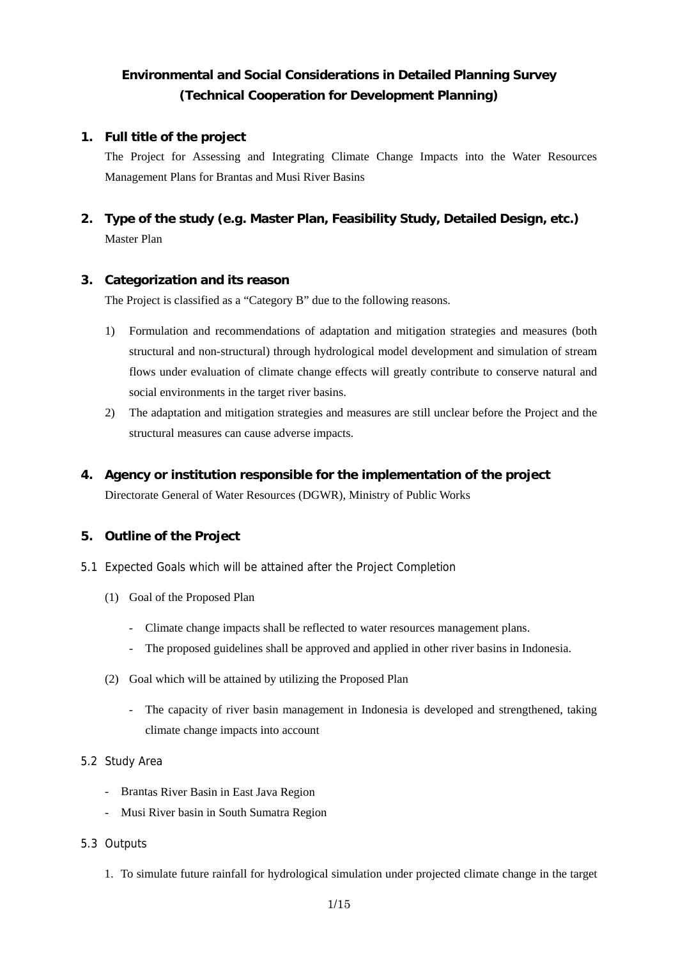# **Environmental and Social Considerations in Detailed Planning Survey (Technical Cooperation for Development Planning)**

### **1. Full title of the project**

The Project for Assessing and Integrating Climate Change Impacts into the Water Resources Management Plans for Brantas and Musi River Basins

## **2. Type of the study (e.g. Master Plan, Feasibility Study, Detailed Design, etc.)**  Master Plan

### **3. Categorization and its reason**

The Project is classified as a "Category B" due to the following reasons.

- 1) Formulation and recommendations of adaptation and mitigation strategies and measures (both structural and non-structural) through hydrological model development and simulation of stream flows under evaluation of climate change effects will greatly contribute to conserve natural and social environments in the target river basins.
- 2) The adaptation and mitigation strategies and measures are still unclear before the Project and the structural measures can cause adverse impacts.

### **4. Agency or institution responsible for the implementation of the project**

Directorate General of Water Resources (DGWR), Ministry of Public Works

### **5. Outline of the Project**

- 5.1 Expected Goals which will be attained after the Project Completion
	- (1) Goal of the Proposed Plan
		- Climate change impacts shall be reflected to water resources management plans.
		- The proposed guidelines shall be approved and applied in other river basins in Indonesia.
	- (2) Goal which will be attained by utilizing the Proposed Plan
		- The capacity of river basin management in Indonesia is developed and strengthened, taking climate change impacts into account

### 5.2 Study Area

- Brantas River Basin in East Java Region
- Musi River basin in South Sumatra Region

### 5.3 Outputs

1. To simulate future rainfall for hydrological simulation under projected climate change in the target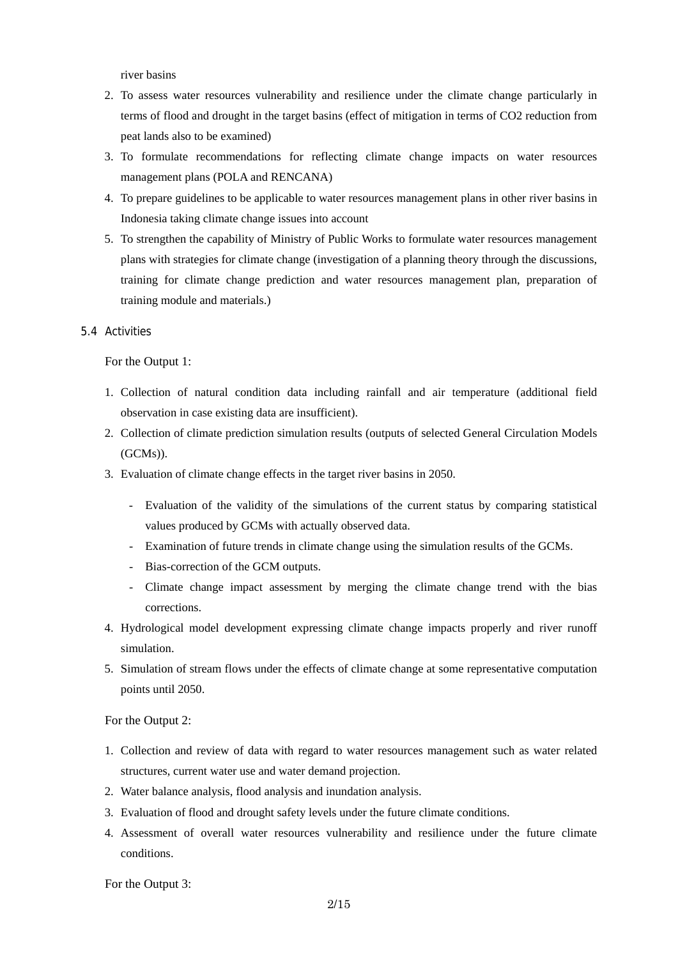river basins

- 2. To assess water resources vulnerability and resilience under the climate change particularly in terms of flood and drought in the target basins (effect of mitigation in terms of CO2 reduction from peat lands also to be examined)
- 3. To formulate recommendations for reflecting climate change impacts on water resources management plans (POLA and RENCANA)
- 4. To prepare guidelines to be applicable to water resources management plans in other river basins in Indonesia taking climate change issues into account
- 5. To strengthen the capability of Ministry of Public Works to formulate water resources management plans with strategies for climate change (investigation of a planning theory through the discussions, training for climate change prediction and water resources management plan, preparation of training module and materials.)

### 5.4 Activities

For the Output 1:

- 1. Collection of natural condition data including rainfall and air temperature (additional field observation in case existing data are insufficient).
- 2. Collection of climate prediction simulation results (outputs of selected General Circulation Models (GCMs)).
- 3. Evaluation of climate change effects in the target river basins in 2050.
	- Evaluation of the validity of the simulations of the current status by comparing statistical values produced by GCMs with actually observed data.
	- Examination of future trends in climate change using the simulation results of the GCMs.
	- Bias-correction of the GCM outputs.
	- Climate change impact assessment by merging the climate change trend with the bias corrections.
- 4. Hydrological model development expressing climate change impacts properly and river runoff simulation.
- 5. Simulation of stream flows under the effects of climate change at some representative computation points until 2050.

For the Output 2:

- 1. Collection and review of data with regard to water resources management such as water related structures, current water use and water demand projection.
- 2. Water balance analysis, flood analysis and inundation analysis.
- 3. Evaluation of flood and drought safety levels under the future climate conditions.
- 4. Assessment of overall water resources vulnerability and resilience under the future climate conditions.

For the Output 3: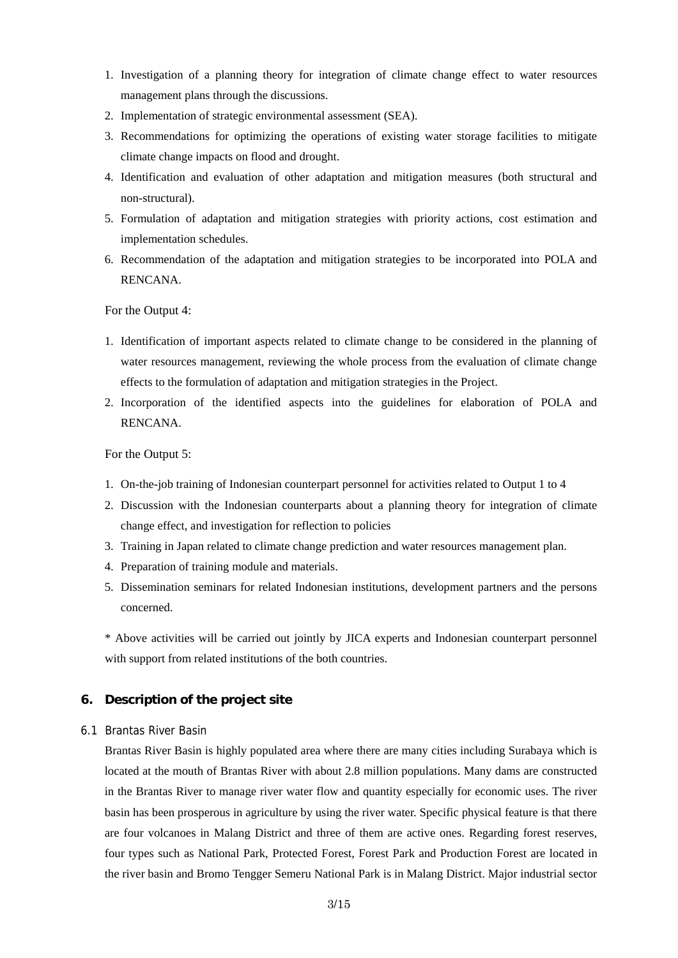- 1. Investigation of a planning theory for integration of climate change effect to water resources management plans through the discussions.
- 2. Implementation of strategic environmental assessment (SEA).
- 3. Recommendations for optimizing the operations of existing water storage facilities to mitigate climate change impacts on flood and drought.
- 4. Identification and evaluation of other adaptation and mitigation measures (both structural and non-structural).
- 5. Formulation of adaptation and mitigation strategies with priority actions, cost estimation and implementation schedules.
- 6. Recommendation of the adaptation and mitigation strategies to be incorporated into POLA and RENCANA.

For the Output 4:

- 1. Identification of important aspects related to climate change to be considered in the planning of water resources management, reviewing the whole process from the evaluation of climate change effects to the formulation of adaptation and mitigation strategies in the Project.
- 2. Incorporation of the identified aspects into the guidelines for elaboration of POLA and RENCANA.

For the Output 5:

- 1. On-the-job training of Indonesian counterpart personnel for activities related to Output 1 to 4
- 2. Discussion with the Indonesian counterparts about a planning theory for integration of climate change effect, and investigation for reflection to policies
- 3. Training in Japan related to climate change prediction and water resources management plan.
- 4. Preparation of training module and materials.
- 5. Dissemination seminars for related Indonesian institutions, development partners and the persons concerned.

\* Above activities will be carried out jointly by JICA experts and Indonesian counterpart personnel with support from related institutions of the both countries.

### **6. Description of the project site**

#### 6.1 Brantas River Basin

Brantas River Basin is highly populated area where there are many cities including Surabaya which is located at the mouth of Brantas River with about 2.8 million populations. Many dams are constructed in the Brantas River to manage river water flow and quantity especially for economic uses. The river basin has been prosperous in agriculture by using the river water. Specific physical feature is that there are four volcanoes in Malang District and three of them are active ones. Regarding forest reserves, four types such as National Park, Protected Forest, Forest Park and Production Forest are located in the river basin and Bromo Tengger Semeru National Park is in Malang District. Major industrial sector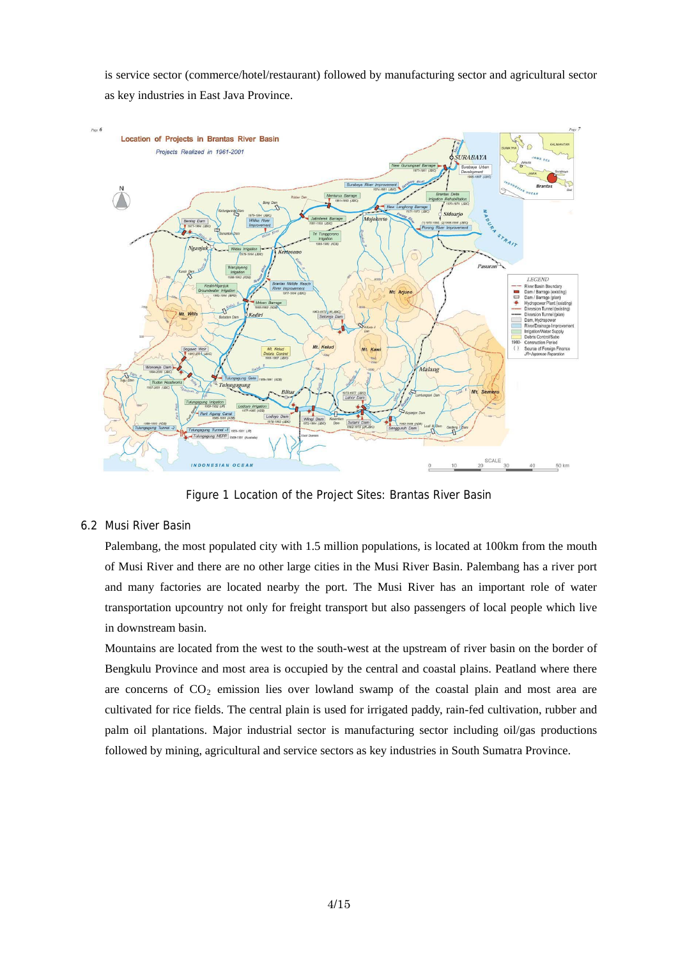is service sector (commerce/hotel/restaurant) followed by manufacturing sector and agricultural sector as key industries in East Java Province.



Figure 1 Location of the Project Sites: Brantas River Basin

### 6.2 Musi River Basin

Palembang, the most populated city with 1.5 million populations, is located at 100km from the mouth of Musi River and there are no other large cities in the Musi River Basin. Palembang has a river port and many factories are located nearby the port. The Musi River has an important role of water transportation upcountry not only for freight transport but also passengers of local people which live in downstream basin.

Mountains are located from the west to the south-west at the upstream of river basin on the border of Bengkulu Province and most area is occupied by the central and coastal plains. Peatland where there are concerns of  $CO<sub>2</sub>$  emission lies over lowland swamp of the coastal plain and most area are cultivated for rice fields. The central plain is used for irrigated paddy, rain-fed cultivation, rubber and palm oil plantations. Major industrial sector is manufacturing sector including oil/gas productions followed by mining, agricultural and service sectors as key industries in South Sumatra Province.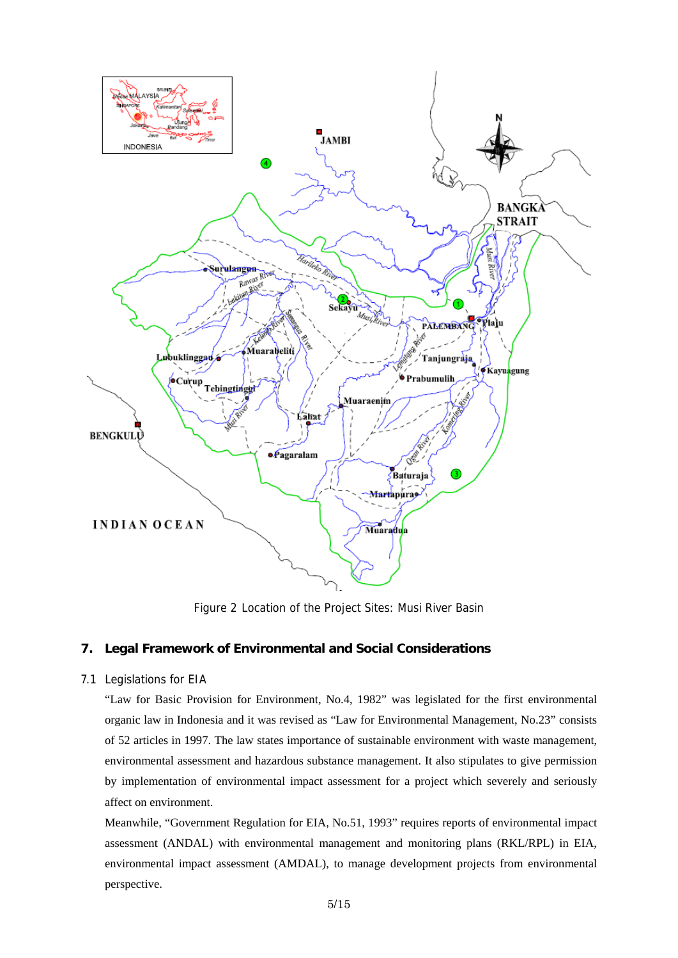

Figure 2 Location of the Project Sites: Musi River Basin

### **7. Legal Framework of Environmental and Social Considerations**

### 7.1 Legislations for EIA

"Law for Basic Provision for Environment, No.4, 1982" was legislated for the first environmental organic law in Indonesia and it was revised as "Law for Environmental Management, No.23" consists of 52 articles in 1997. The law states importance of sustainable environment with waste management, environmental assessment and hazardous substance management. It also stipulates to give permission by implementation of environmental impact assessment for a project which severely and seriously affect on environment.

Meanwhile, "Government Regulation for EIA, No.51, 1993" requires reports of environmental impact assessment (ANDAL) with environmental management and monitoring plans (RKL/RPL) in EIA, environmental impact assessment (AMDAL), to manage development projects from environmental perspective.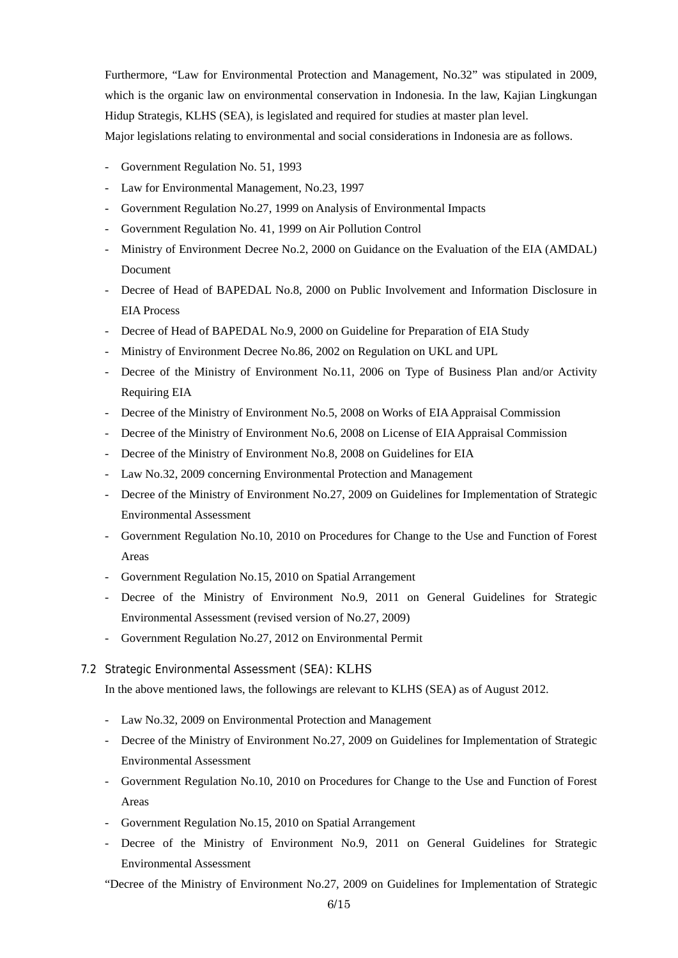Furthermore, "Law for Environmental Protection and Management, No.32" was stipulated in 2009, which is the organic law on environmental conservation in Indonesia. In the law, Kajian Lingkungan Hidup Strategis, KLHS (SEA), is legislated and required for studies at master plan level. Major legislations relating to environmental and social considerations in Indonesia are as follows.

- Government Regulation No. 51, 1993
- Law for Environmental Management, No.23, 1997
- Government Regulation No.27, 1999 on Analysis of Environmental Impacts
- Government Regulation No. 41, 1999 on Air Pollution Control
- Ministry of Environment Decree No.2, 2000 on Guidance on the Evaluation of the EIA (AMDAL) Document
- Decree of Head of BAPEDAL No.8, 2000 on Public Involvement and Information Disclosure in EIA Process
- Decree of Head of BAPEDAL No.9, 2000 on Guideline for Preparation of EIA Study
- Ministry of Environment Decree No.86, 2002 on Regulation on UKL and UPL
- Decree of the Ministry of Environment No.11, 2006 on Type of Business Plan and/or Activity Requiring EIA
- Decree of the Ministry of Environment No.5, 2008 on Works of EIA Appraisal Commission
- Decree of the Ministry of Environment No.6, 2008 on License of EIA Appraisal Commission
- Decree of the Ministry of Environment No.8, 2008 on Guidelines for EIA
- Law No.32, 2009 concerning Environmental Protection and Management
- Decree of the Ministry of Environment No.27, 2009 on Guidelines for Implementation of Strategic Environmental Assessment
- Government Regulation No.10, 2010 on Procedures for Change to the Use and Function of Forest Areas
- Government Regulation No.15, 2010 on Spatial Arrangement
- Decree of the Ministry of Environment No.9, 2011 on General Guidelines for Strategic Environmental Assessment (revised version of No.27, 2009)
- Government Regulation No.27, 2012 on Environmental Permit

#### 7.2 Strategic Environmental Assessment (SEA): KLHS

In the above mentioned laws, the followings are relevant to KLHS (SEA) as of August 2012.

- Law No.32, 2009 on Environmental Protection and Management
- Decree of the Ministry of Environment No.27, 2009 on Guidelines for Implementation of Strategic Environmental Assessment
- Government Regulation No.10, 2010 on Procedures for Change to the Use and Function of Forest Areas
- Government Regulation No.15, 2010 on Spatial Arrangement
- Decree of the Ministry of Environment No.9, 2011 on General Guidelines for Strategic Environmental Assessment

"Decree of the Ministry of Environment No.27, 2009 on Guidelines for Implementation of Strategic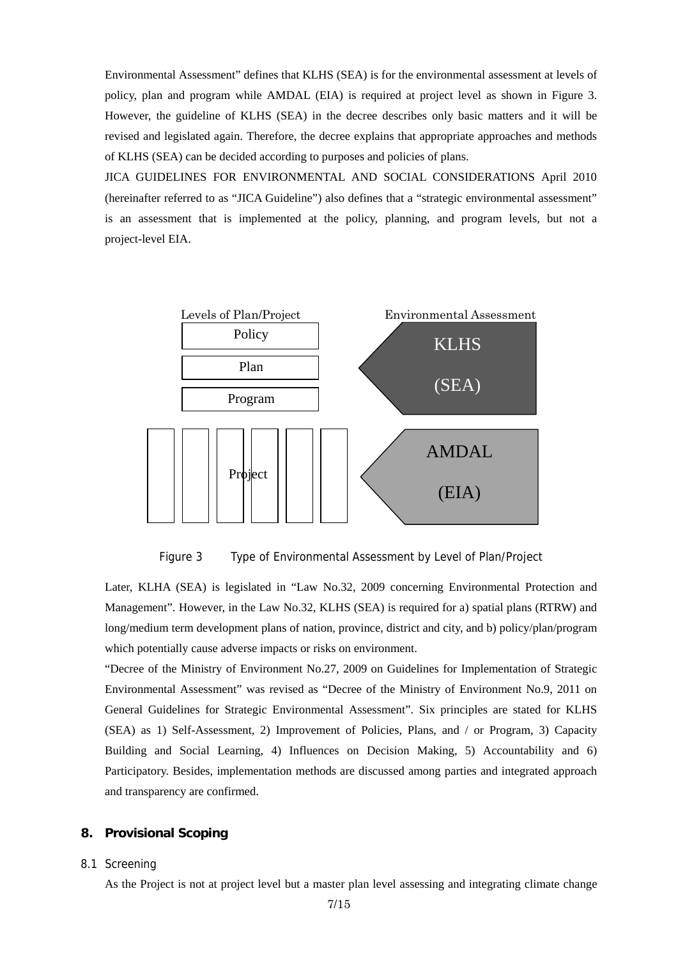Environmental Assessment" defines that KLHS (SEA) is for the environmental assessment at levels of policy, plan and program while AMDAL (EIA) is required at project level as shown in Figure 3. However, the guideline of KLHS (SEA) in the decree describes only basic matters and it will be revised and legislated again. Therefore, the decree explains that appropriate approaches and methods of KLHS (SEA) can be decided according to purposes and policies of plans.

JICA GUIDELINES FOR ENVIRONMENTAL AND SOCIAL CONSIDERATIONS April 2010 (hereinafter referred to as "JICA Guideline") also defines that a "strategic environmental assessment" is an assessment that is implemented at the policy, planning, and program levels, but not a project-level EIA.



Figure 3 Type of Environmental Assessment by Level of Plan/Project

long/medium term development plans of nation, province, district and city, and b) policy/plan/program Later, KLHA (SEA) is legislated in "Law No.32, 2009 concerning Environmental Protection and Management". However, in the Law No.32, KLHS (SEA) is required for a) spatial plans (RTRW) and which potentially cause adverse impacts or risks on environment.

Participatory. Besides, implementation methods are discussed among parties and integrated approach and transparency are confirmed. "Decree of the Ministry of Environment No.27, 2009 on Guidelines for Implementation of Strategic Environmental Assessment" was revised as "Decree of the Ministry of Environment No.9, 2011 on General Guidelines for Strategic Environmental Assessment". Six principles are stated for KLHS (SEA) as 1) Self-Assessment, 2) Improvement of Policies, Plans, and / or Program, 3) Capacity Building and Social Learning, 4) Influences on Decision Making, 5) Accountability and 6)

#### **8. Provisional Scoping**

#### 8.1 Screening

As the Project is not at project level but a master plan level assessing and integrating climate change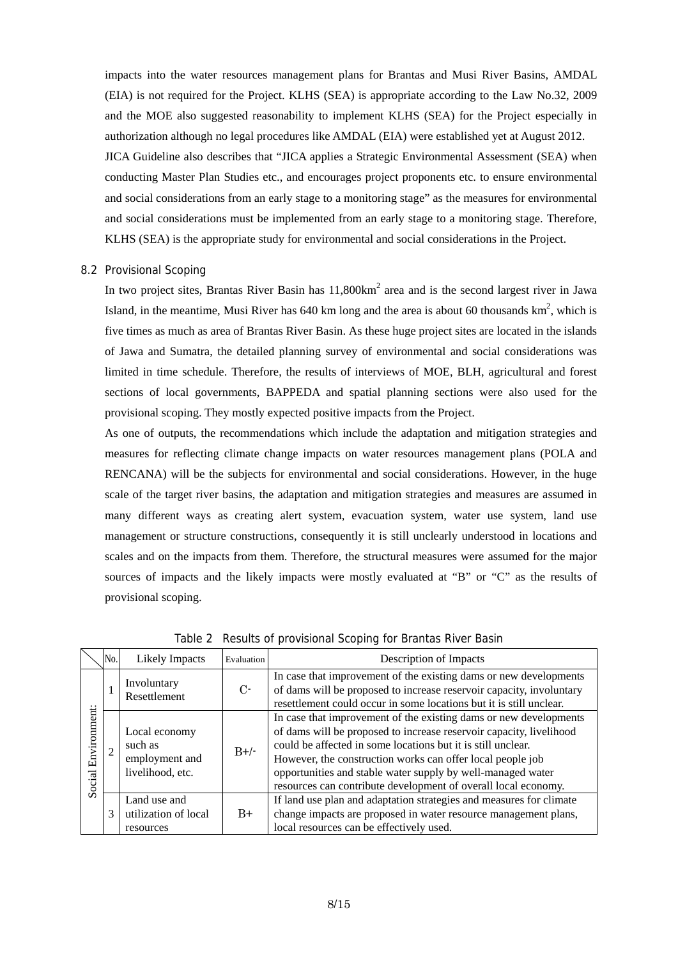impacts into the water resources management plans for Brantas and Musi River Basins, AMDAL (EIA) is not required for the Project. KLHS (SEA) is appropriate according to the Law No.32, 2009 and the MOE also suggested reasonability to implement KLHS (SEA) for the Project especially in KLHS (SEA) is the appropriate study for environmental and social considerations in the Project. authorization although no legal procedures like AMDAL (EIA) were established yet at August 2012. JICA Guideline also describes that "JICA applies a Strategic Environmental Assessment (SEA) when conducting Master Plan Studies etc., and encourages project proponents etc. to ensure environmental and social considerations from an early stage to a monitoring stage" as the measures for environmental and social considerations must be implemented from an early stage to a monitoring stage. Therefore,

#### 8.2 Provisional Scoping

sections of local governments, BAPPEDA and spatial planning sections were also used for the In two project sites, Brantas River Basin has  $11,800 \text{km}^2$  area and is the second largest river in Jawa Island, in the meantime, Musi River has 640 km long and the area is about 60 thousands  $km^2$ , which is five times as much as area of Brantas River Basin. As these huge project sites are located in the islands of Jawa and Sumatra, the detailed planning survey of environmental and social considerations was limited in time schedule. Therefore, the results of interviews of MOE, BLH, agricultural and forest provisional scoping. They mostly expected positive impacts from the Project.

sources of impacts and the likely impacts were mostly evaluated at "B" or " $C$ " as the results of provisional scoping. As one of outputs, the recommendations which include the adaptation and mitigation strategies and measures for reflecting climate change impacts on water resources management plans (POLA and RENCANA) will be the subjects for environmental and social considerations. However, in the huge scale of the target river basins, the adaptation and mitigation strategies and measures are assumed in many different ways as creating alert system, evacuation system, water use system, land use management or structure constructions, consequently it is still unclearly understood in locations and scales and on the impacts from them. Therefore, the structural measures were assumed for the major

|                        | No. | <b>Likely Impacts</b>                                          | Evaluation | Description of Impacts                                                                                                                                                                                                                                                                                                                                                                                  |
|------------------------|-----|----------------------------------------------------------------|------------|---------------------------------------------------------------------------------------------------------------------------------------------------------------------------------------------------------------------------------------------------------------------------------------------------------------------------------------------------------------------------------------------------------|
| Environment:<br>Social |     | Involuntary<br>Resettlement                                    | $C$ -      | In case that improvement of the existing dams or new developments<br>of dams will be proposed to increase reservoir capacity, involuntary<br>resettlement could occur in some locations but it is still unclear.                                                                                                                                                                                        |
|                        |     | Local economy<br>such as<br>employment and<br>livelihood, etc. | $B+/$      | In case that improvement of the existing dams or new developments<br>of dams will be proposed to increase reservoir capacity, livelihood<br>could be affected in some locations but it is still unclear.<br>However, the construction works can offer local people job<br>opportunities and stable water supply by well-managed water<br>resources can contribute development of overall local economy. |
|                        | 3   | Land use and<br>utilization of local<br>resources              | $B+$       | If land use plan and adaptation strategies and measures for climate<br>change impacts are proposed in water resource management plans,<br>local resources can be effectively used.                                                                                                                                                                                                                      |

Table 2 Results of provisional Scoping for Brantas River Basin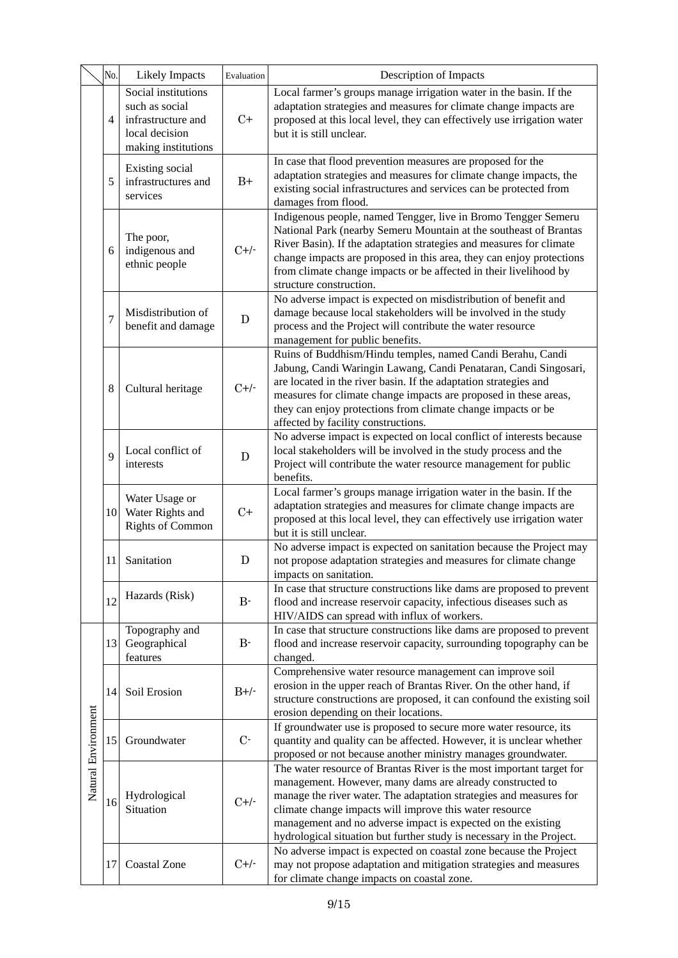|                     | No.            | <b>Likely Impacts</b>                                                                                | Evaluation    | Description of Impacts                                                                                                                                                                                                                                                                                                                                                                                      |
|---------------------|----------------|------------------------------------------------------------------------------------------------------|---------------|-------------------------------------------------------------------------------------------------------------------------------------------------------------------------------------------------------------------------------------------------------------------------------------------------------------------------------------------------------------------------------------------------------------|
|                     | 4              | Social institutions<br>such as social<br>infrastructure and<br>local decision<br>making institutions | $C+$          | Local farmer's groups manage irrigation water in the basin. If the<br>adaptation strategies and measures for climate change impacts are<br>proposed at this local level, they can effectively use irrigation water<br>but it is still unclear.                                                                                                                                                              |
|                     | 5              | Existing social<br>infrastructures and<br>services                                                   | $\mathrm{B}+$ | In case that flood prevention measures are proposed for the<br>adaptation strategies and measures for climate change impacts, the<br>existing social infrastructures and services can be protected from<br>damages from flood.                                                                                                                                                                              |
|                     | 6              | The poor,<br>indigenous and<br>ethnic people                                                         | $C+/-$        | Indigenous people, named Tengger, live in Bromo Tengger Semeru<br>National Park (nearby Semeru Mountain at the southeast of Brantas<br>River Basin). If the adaptation strategies and measures for climate<br>change impacts are proposed in this area, they can enjoy protections<br>from climate change impacts or be affected in their livelihood by<br>structure construction.                          |
|                     | $\overline{7}$ | Misdistribution of<br>benefit and damage                                                             | $\mathbf D$   | No adverse impact is expected on misdistribution of benefit and<br>damage because local stakeholders will be involved in the study<br>process and the Project will contribute the water resource<br>management for public benefits.                                                                                                                                                                         |
|                     | 8              | Cultural heritage                                                                                    | $C+/-$        | Ruins of Buddhism/Hindu temples, named Candi Berahu, Candi<br>Jabung, Candi Waringin Lawang, Candi Penataran, Candi Singosari,<br>are located in the river basin. If the adaptation strategies and<br>measures for climate change impacts are proposed in these areas,<br>they can enjoy protections from climate change impacts or be<br>affected by facility constructions.                               |
|                     | 9              | Local conflict of<br>interests                                                                       | $\mathbf D$   | No adverse impact is expected on local conflict of interests because<br>local stakeholders will be involved in the study process and the<br>Project will contribute the water resource management for public<br>benefits.                                                                                                                                                                                   |
|                     | 10             | Water Usage or<br>Water Rights and<br><b>Rights of Common</b>                                        | $C+$          | Local farmer's groups manage irrigation water in the basin. If the<br>adaptation strategies and measures for climate change impacts are<br>proposed at this local level, they can effectively use irrigation water<br>but it is still unclear.                                                                                                                                                              |
|                     | 11             | Sanitation                                                                                           | $\mathbf D$   | No adverse impact is expected on sanitation because the Project may<br>not propose adaptation strategies and measures for climate change<br>impacts on sanitation.                                                                                                                                                                                                                                          |
|                     | 12             | Hazards (Risk)                                                                                       | $B -$         | In case that structure constructions like dams are proposed to prevent<br>flood and increase reservoir capacity, infectious diseases such as<br>HIV/AIDS can spread with influx of workers.                                                                                                                                                                                                                 |
|                     | 13             | Topography and<br>Geographical<br>features                                                           | $B -$         | In case that structure constructions like dams are proposed to prevent<br>flood and increase reservoir capacity, surrounding topography can be<br>changed.                                                                                                                                                                                                                                                  |
| Natural Environment | 14             | Soil Erosion                                                                                         | $B+/-$        | Comprehensive water resource management can improve soil<br>erosion in the upper reach of Brantas River. On the other hand, if<br>structure constructions are proposed, it can confound the existing soil<br>erosion depending on their locations.                                                                                                                                                          |
|                     | 15             | Groundwater                                                                                          | $C-$          | If groundwater use is proposed to secure more water resource, its<br>quantity and quality can be affected. However, it is unclear whether<br>proposed or not because another ministry manages groundwater.                                                                                                                                                                                                  |
|                     | 16             | Hydrological<br>Situation                                                                            | $C+/-$        | The water resource of Brantas River is the most important target for<br>management. However, many dams are already constructed to<br>manage the river water. The adaptation strategies and measures for<br>climate change impacts will improve this water resource<br>management and no adverse impact is expected on the existing<br>hydrological situation but further study is necessary in the Project. |
|                     | 17             | <b>Coastal Zone</b>                                                                                  | $C+/-$        | No adverse impact is expected on coastal zone because the Project<br>may not propose adaptation and mitigation strategies and measures<br>for climate change impacts on coastal zone.                                                                                                                                                                                                                       |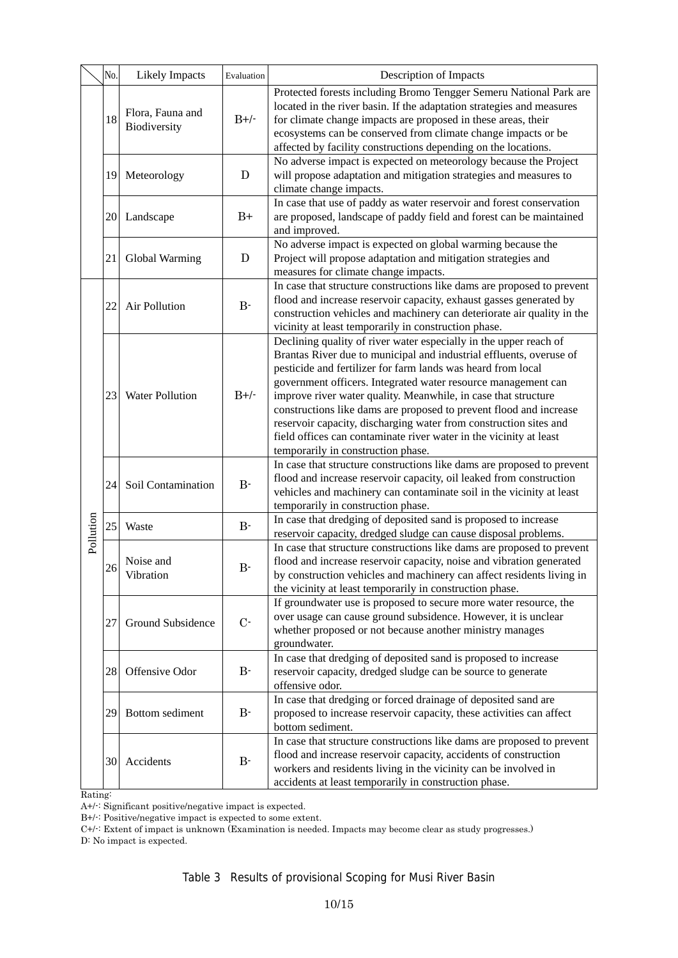|           | No. | <b>Likely Impacts</b>            | Evaluation  | Description of Impacts                                                                                                                                                                                                                                                                                                                                                                                                                                                                                                                                                                             |
|-----------|-----|----------------------------------|-------------|----------------------------------------------------------------------------------------------------------------------------------------------------------------------------------------------------------------------------------------------------------------------------------------------------------------------------------------------------------------------------------------------------------------------------------------------------------------------------------------------------------------------------------------------------------------------------------------------------|
|           | 18  | Flora, Fauna and<br>Biodiversity | $B+/$       | Protected forests including Bromo Tengger Semeru National Park are<br>located in the river basin. If the adaptation strategies and measures<br>for climate change impacts are proposed in these areas, their<br>ecosystems can be conserved from climate change impacts or be<br>affected by facility constructions depending on the locations.                                                                                                                                                                                                                                                    |
|           | 19  | Meteorology                      | D           | No adverse impact is expected on meteorology because the Project<br>will propose adaptation and mitigation strategies and measures to<br>climate change impacts.                                                                                                                                                                                                                                                                                                                                                                                                                                   |
|           | 20  | Landscape                        | $B+$        | In case that use of paddy as water reservoir and forest conservation<br>are proposed, landscape of paddy field and forest can be maintained<br>and improved.                                                                                                                                                                                                                                                                                                                                                                                                                                       |
|           | 21  | Global Warming                   | $\mathbf D$ | No adverse impact is expected on global warming because the<br>Project will propose adaptation and mitigation strategies and<br>measures for climate change impacts.                                                                                                                                                                                                                                                                                                                                                                                                                               |
|           | 22  | <b>Air Pollution</b>             | $B-$        | In case that structure constructions like dams are proposed to prevent<br>flood and increase reservoir capacity, exhaust gasses generated by<br>construction vehicles and machinery can deteriorate air quality in the<br>vicinity at least temporarily in construction phase.                                                                                                                                                                                                                                                                                                                     |
|           | 23  | <b>Water Pollution</b>           | $B+/$       | Declining quality of river water especially in the upper reach of<br>Brantas River due to municipal and industrial effluents, overuse of<br>pesticide and fertilizer for farm lands was heard from local<br>government officers. Integrated water resource management can<br>improve river water quality. Meanwhile, in case that structure<br>constructions like dams are proposed to prevent flood and increase<br>reservoir capacity, discharging water from construction sites and<br>field offices can contaminate river water in the vicinity at least<br>temporarily in construction phase. |
|           | 24  | Soil Contamination               | $B -$       | In case that structure constructions like dams are proposed to prevent<br>flood and increase reservoir capacity, oil leaked from construction<br>vehicles and machinery can contaminate soil in the vicinity at least<br>temporarily in construction phase.                                                                                                                                                                                                                                                                                                                                        |
| Pollution | 25  | Waste                            | $B -$       | In case that dredging of deposited sand is proposed to increase<br>reservoir capacity, dredged sludge can cause disposal problems.                                                                                                                                                                                                                                                                                                                                                                                                                                                                 |
|           | 26  | Noise and<br>Vibration           | $B-$        | In case that structure constructions like dams are proposed to prevent<br>flood and increase reservoir capacity, noise and vibration generated<br>by construction vehicles and machinery can affect residents living in<br>the vicinity at least temporarily in construction phase.                                                                                                                                                                                                                                                                                                                |
|           | 27  | Ground Subsidence                | $C-$        | If groundwater use is proposed to secure more water resource, the<br>over usage can cause ground subsidence. However, it is unclear<br>whether proposed or not because another ministry manages<br>groundwater.                                                                                                                                                                                                                                                                                                                                                                                    |
|           | 28  | Offensive Odor                   | $B -$       | In case that dredging of deposited sand is proposed to increase<br>reservoir capacity, dredged sludge can be source to generate<br>offensive odor.                                                                                                                                                                                                                                                                                                                                                                                                                                                 |
|           | 29  | Bottom sediment                  | $B -$       | In case that dredging or forced drainage of deposited sand are<br>proposed to increase reservoir capacity, these activities can affect<br>bottom sediment.                                                                                                                                                                                                                                                                                                                                                                                                                                         |
|           | 30  | Accidents                        | $B -$       | In case that structure constructions like dams are proposed to prevent<br>flood and increase reservoir capacity, accidents of construction<br>workers and residents living in the vicinity can be involved in<br>accidents at least temporarily in construction phase.                                                                                                                                                                                                                                                                                                                             |

Rating:

A+/-: Significant positiv e/negative impact is expected.

 $B+/-$ : Positive/negative impact is expected to some extent.

 $C+/-$ : Extent of impact is unknown (Examination is needed. Impacts may become clear as study progresses.) D: No impact is expected.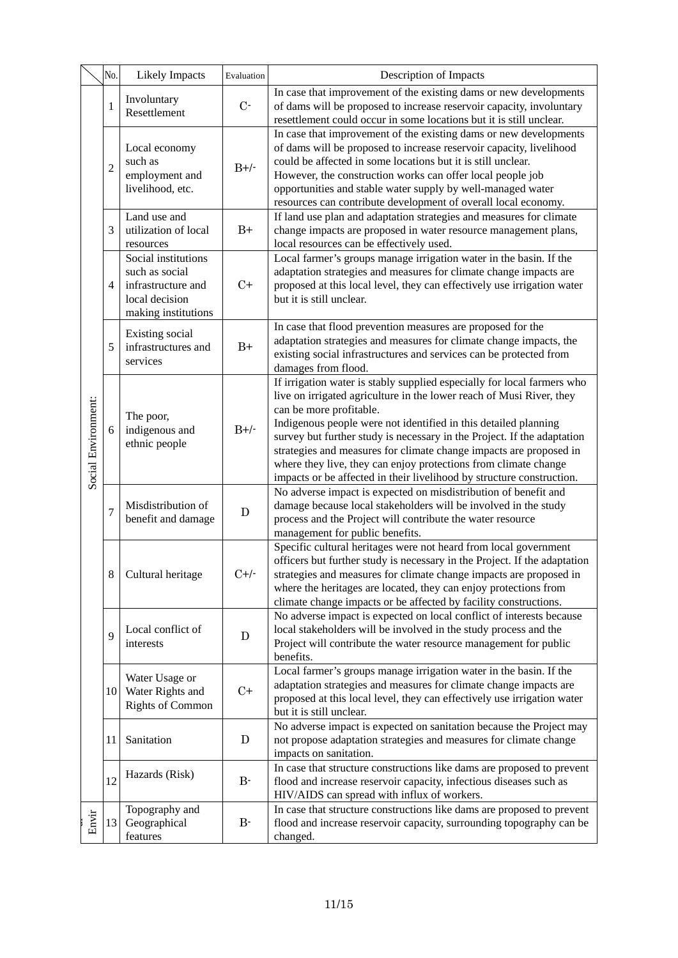|                     | No.            | <b>Likely Impacts</b>                                                                                | Evaluation  | Description of Impacts                                                                                                                                                                                                                                                                                                                                                                                                                                                                                                                     |
|---------------------|----------------|------------------------------------------------------------------------------------------------------|-------------|--------------------------------------------------------------------------------------------------------------------------------------------------------------------------------------------------------------------------------------------------------------------------------------------------------------------------------------------------------------------------------------------------------------------------------------------------------------------------------------------------------------------------------------------|
| Social Environment: | 1              | Involuntary<br>Resettlement                                                                          | $C$ -       | In case that improvement of the existing dams or new developments<br>of dams will be proposed to increase reservoir capacity, involuntary<br>resettlement could occur in some locations but it is still unclear.                                                                                                                                                                                                                                                                                                                           |
|                     | $\overline{c}$ | Local economy<br>such as<br>employment and<br>livelihood, etc.                                       | $B+/$       | In case that improvement of the existing dams or new developments<br>of dams will be proposed to increase reservoir capacity, livelihood<br>could be affected in some locations but it is still unclear.<br>However, the construction works can offer local people job<br>opportunities and stable water supply by well-managed water<br>resources can contribute development of overall local economy.                                                                                                                                    |
|                     | 3              | Land use and<br>utilization of local<br>resources                                                    | $B+$        | If land use plan and adaptation strategies and measures for climate<br>change impacts are proposed in water resource management plans,<br>local resources can be effectively used.                                                                                                                                                                                                                                                                                                                                                         |
|                     | $\overline{4}$ | Social institutions<br>such as social<br>infrastructure and<br>local decision<br>making institutions | $C+$        | Local farmer's groups manage irrigation water in the basin. If the<br>adaptation strategies and measures for climate change impacts are<br>proposed at this local level, they can effectively use irrigation water<br>but it is still unclear.                                                                                                                                                                                                                                                                                             |
|                     | 5              | Existing social<br>infrastructures and<br>services                                                   | $B+$        | In case that flood prevention measures are proposed for the<br>adaptation strategies and measures for climate change impacts, the<br>existing social infrastructures and services can be protected from<br>damages from flood.                                                                                                                                                                                                                                                                                                             |
|                     | 6              | The poor,<br>indigenous and<br>ethnic people                                                         | $B+/$       | If irrigation water is stably supplied especially for local farmers who<br>live on irrigated agriculture in the lower reach of Musi River, they<br>can be more profitable.<br>Indigenous people were not identified in this detailed planning<br>survey but further study is necessary in the Project. If the adaptation<br>strategies and measures for climate change impacts are proposed in<br>where they live, they can enjoy protections from climate change<br>impacts or be affected in their livelihood by structure construction. |
|                     | $\overline{7}$ | Misdistribution of<br>benefit and damage                                                             | $\mathbf D$ | No adverse impact is expected on misdistribution of benefit and<br>damage because local stakeholders will be involved in the study<br>process and the Project will contribute the water resource<br>management for public benefits.                                                                                                                                                                                                                                                                                                        |
|                     | $\,8\,$        | Cultural heritage                                                                                    | $C+/-$      | Specific cultural heritages were not heard from local government<br>officers but further study is necessary in the Project. If the adaptation<br>strategies and measures for climate change impacts are proposed in<br>where the heritages are located, they can enjoy protections from<br>climate change impacts or be affected by facility constructions.                                                                                                                                                                                |
|                     | 9              | Local conflict of<br>interests                                                                       | D           | No adverse impact is expected on local conflict of interests because<br>local stakeholders will be involved in the study process and the<br>Project will contribute the water resource management for public<br>benefits.                                                                                                                                                                                                                                                                                                                  |
|                     | 10             | Water Usage or<br>Water Rights and<br><b>Rights of Common</b>                                        | $C+$        | Local farmer's groups manage irrigation water in the basin. If the<br>adaptation strategies and measures for climate change impacts are<br>proposed at this local level, they can effectively use irrigation water<br>but it is still unclear.                                                                                                                                                                                                                                                                                             |
|                     | 11             | Sanitation                                                                                           | D           | No adverse impact is expected on sanitation because the Project may<br>not propose adaptation strategies and measures for climate change<br>impacts on sanitation.                                                                                                                                                                                                                                                                                                                                                                         |
|                     | 12             | Hazards (Risk)                                                                                       | $B -$       | In case that structure constructions like dams are proposed to prevent<br>flood and increase reservoir capacity, infectious diseases such as<br>HIV/AIDS can spread with influx of workers.                                                                                                                                                                                                                                                                                                                                                |
| Envir               | 13             | Topography and<br>Geographical<br>features                                                           | $B -$       | In case that structure constructions like dams are proposed to prevent<br>flood and increase reservoir capacity, surrounding topography can be<br>changed.                                                                                                                                                                                                                                                                                                                                                                                 |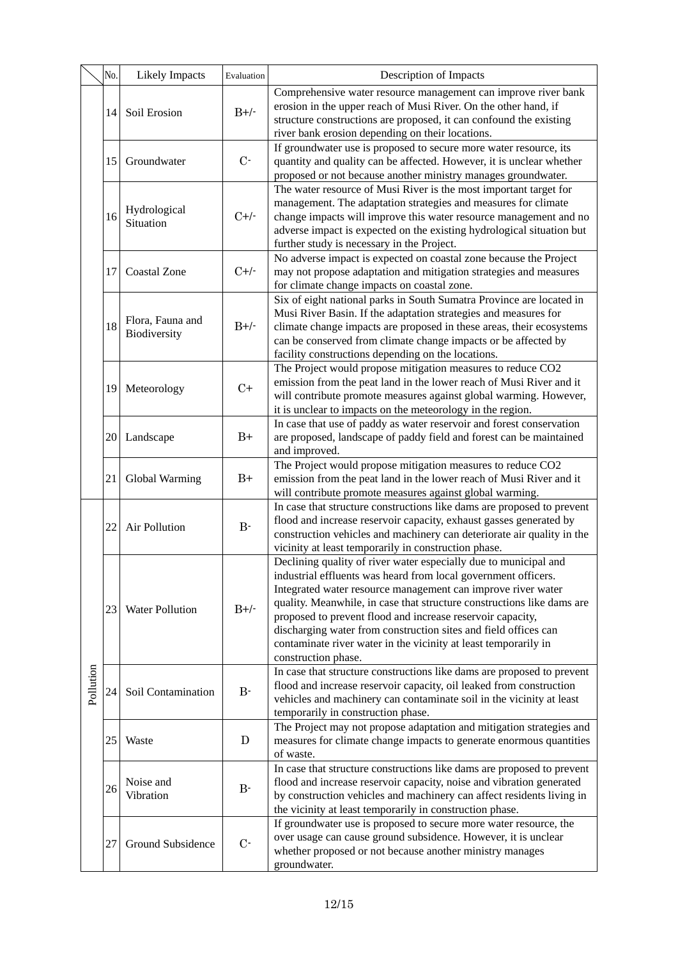|           | No. | <b>Likely Impacts</b>            | Evaluation | Description of Impacts                                                                                                                                                                                                                                                                                                                                                                                                                                                                                  |
|-----------|-----|----------------------------------|------------|---------------------------------------------------------------------------------------------------------------------------------------------------------------------------------------------------------------------------------------------------------------------------------------------------------------------------------------------------------------------------------------------------------------------------------------------------------------------------------------------------------|
|           | 14  | Soil Erosion                     | $B+/$      | Comprehensive water resource management can improve river bank<br>erosion in the upper reach of Musi River. On the other hand, if<br>structure constructions are proposed, it can confound the existing<br>river bank erosion depending on their locations.                                                                                                                                                                                                                                             |
|           | 15  | Groundwater                      | $C-$       | If groundwater use is proposed to secure more water resource, its<br>quantity and quality can be affected. However, it is unclear whether<br>proposed or not because another ministry manages groundwater.                                                                                                                                                                                                                                                                                              |
|           | 16  | Hydrological<br>Situation        | $C+/-$     | The water resource of Musi River is the most important target for<br>management. The adaptation strategies and measures for climate<br>change impacts will improve this water resource management and no<br>adverse impact is expected on the existing hydrological situation but<br>further study is necessary in the Project.                                                                                                                                                                         |
|           | 17  | <b>Coastal Zone</b>              | $C+/-$     | No adverse impact is expected on coastal zone because the Project<br>may not propose adaptation and mitigation strategies and measures<br>for climate change impacts on coastal zone.                                                                                                                                                                                                                                                                                                                   |
|           | 18  | Flora, Fauna and<br>Biodiversity | $B+/$      | Six of eight national parks in South Sumatra Province are located in<br>Musi River Basin. If the adaptation strategies and measures for<br>climate change impacts are proposed in these areas, their ecosystems<br>can be conserved from climate change impacts or be affected by<br>facility constructions depending on the locations.                                                                                                                                                                 |
|           | 19  | Meteorology                      | $C+$       | The Project would propose mitigation measures to reduce CO2<br>emission from the peat land in the lower reach of Musi River and it<br>will contribute promote measures against global warming. However,<br>it is unclear to impacts on the meteorology in the region.                                                                                                                                                                                                                                   |
|           | 20  | Landscape                        | $B+$       | In case that use of paddy as water reservoir and forest conservation<br>are proposed, landscape of paddy field and forest can be maintained<br>and improved.                                                                                                                                                                                                                                                                                                                                            |
|           | 21  | Global Warming                   | $B+$       | The Project would propose mitigation measures to reduce CO2<br>emission from the peat land in the lower reach of Musi River and it<br>will contribute promote measures against global warming.                                                                                                                                                                                                                                                                                                          |
|           | 22  | <b>Air Pollution</b>             | $B-$       | In case that structure constructions like dams are proposed to prevent<br>flood and increase reservoir capacity, exhaust gasses generated by<br>construction vehicles and machinery can deteriorate air quality in the<br>vicinity at least temporarily in construction phase.                                                                                                                                                                                                                          |
| Pollution | 23  | Water Pollution                  | $B+/$      | Declining quality of river water especially due to municipal and<br>industrial effluents was heard from local government officers.<br>Integrated water resource management can improve river water<br>quality. Meanwhile, in case that structure constructions like dams are<br>proposed to prevent flood and increase reservoir capacity,<br>discharging water from construction sites and field offices can<br>contaminate river water in the vicinity at least temporarily in<br>construction phase. |
|           | 24  | Soil Contamination               | $B-$       | In case that structure constructions like dams are proposed to prevent<br>flood and increase reservoir capacity, oil leaked from construction<br>vehicles and machinery can contaminate soil in the vicinity at least<br>temporarily in construction phase.                                                                                                                                                                                                                                             |
|           | 25  | Waste                            | D          | The Project may not propose adaptation and mitigation strategies and<br>measures for climate change impacts to generate enormous quantities<br>of waste.                                                                                                                                                                                                                                                                                                                                                |
|           | 26  | Noise and<br>Vibration           | $B -$      | In case that structure constructions like dams are proposed to prevent<br>flood and increase reservoir capacity, noise and vibration generated<br>by construction vehicles and machinery can affect residents living in<br>the vicinity at least temporarily in construction phase.                                                                                                                                                                                                                     |
|           | 27  | Ground Subsidence                | $C-$       | If groundwater use is proposed to secure more water resource, the<br>over usage can cause ground subsidence. However, it is unclear<br>whether proposed or not because another ministry manages<br>groundwater.                                                                                                                                                                                                                                                                                         |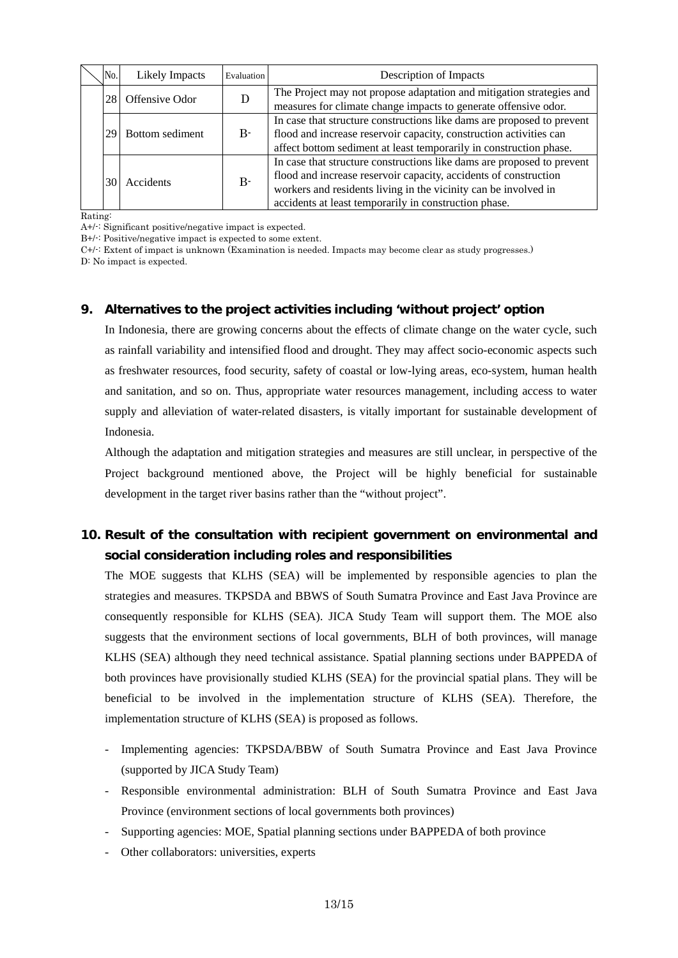|  | No. | <b>Likely Impacts</b> | Evaluation | Description of Impacts                                                                                                                                                                                                                                                 |
|--|-----|-----------------------|------------|------------------------------------------------------------------------------------------------------------------------------------------------------------------------------------------------------------------------------------------------------------------------|
|  | 281 | Offensive Odor        |            | The Project may not propose adaptation and mitigation strategies and<br>measures for climate change impacts to generate offensive odor.                                                                                                                                |
|  | 29  | Bottom sediment       | $B-$       | In case that structure constructions like dams are proposed to prevent<br>flood and increase reservoir capacity, construction activities can<br>affect bottom sediment at least temporarily in construction phase.                                                     |
|  | 30  | Accidents             | $B-$       | In case that structure constructions like dams are proposed to prevent<br>flood and increase reservoir capacity, accidents of construction<br>workers and residents living in the vicinity can be involved in<br>accidents at least temporarily in construction phase. |

Rating:

A+/-: Significant positive/negative impact is expected.

B+/-: Positive/negative impact is expected to some extent.

C+/-: Extent of impact is unknown (Examination is needed. Impacts may become clear as study progresses.)

D: No impact is expected.

### **9. Alternatives to the project activities including 'without project' option**

as freshwater resources, food security, safety of coastal or low-lying areas, eco-system, human health In Indonesia, there are growing concerns about the effects of climate change on the water cycle, such as rainfall variability and intensified flood and drought. They may affect socio-economic aspects such and sanitation, and so on. Thus, appropriate water resources management, including access to water supply and alleviation of water-related disasters, is vitally important for sustainable development of Indonesia.

Although the adaptation and mitigation strategies and measures are still unclear, in perspective of the Project background mentioned above, the Project will be highly beneficial for sustainable development in the target river basins rather than the "without project".

# **10. Result of the consultation with recipient government on environmental and social consideration including roles and responsibilities**

KLHS (SEA) although they need technical assistance. Spatial planning sections under BAPPEDA of beneficial to be involved in the implementation structure of KLHS (SEA). Therefore, the The MOE suggests that KLHS (SEA) will be implemented by responsible agencies to plan the strategies and measures. TKPSDA and BBWS of South Sumatra Province and East Java Province are consequently responsible for KLHS (SEA). JICA Study Team will support them. The MOE also suggests that the environment sections of local governments, BLH of both provinces, will manage both provinces have provisionally studied KLHS (SEA) for the provincial spatial plans. They will be implementation structure of KLHS (SEA) is proposed as follows.

- Implementing agencies: TKPSDA/BBW of South Sumatra Province and East Java Province (supported by JICA Study Team)
- Responsible environmental administration: BLH of South Sumatra Province and East Java Province (environment sections of local governments both provinces)
- Supporting agencies: MOE, Spatial planning sections under BAPPEDA of both province
- Other collaborators: universities, experts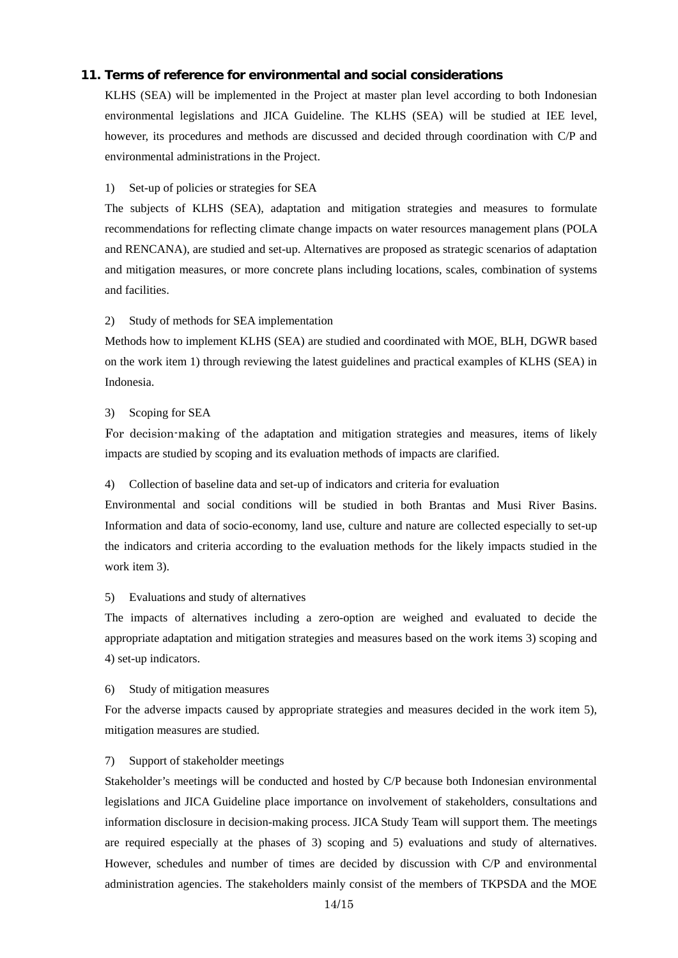### 11. Terms of reference for environmental and social considerations

KLHS (SEA) will be implemented in the Project at master plan level according to both Indonesian environmental legislations and JICA Guideline. The KLHS (SEA) will be studied at IEE level, however, its procedures and methods are discussed and decided through coordination with C/P and environmental administrations in the Project.

#### 1) Set-up of policies or strategies for SEA

The subjects of KLHS (SEA), adaptation and mitigation strategies and measures to formulate recommendations for reflecting climate change impacts on water resources management plans (POLA and RENCANA), are studied and set-up. Alternatives are proposed as strategic scenarios of adaptation and mitigation measures, or more concrete plans including locations, scales, combination of systems and facilities.

#### 2) Study of methods for SEA implementation

Methods how to implement KLHS (SEA) are studied and coordinated with MOE, BLH, DGWR based on the work item 1) through reviewing the latest guidelines and practical examples of KLHS (SEA) in Indonesia.

#### 3) Scoping for SEA

For decision-making of the adaptation and mitigation strategies and measures, items of likely impacts are studied by scoping and its evaluation methods of impacts are clarified.

#### 4) Collection of baseline data and set-up of indicators and criteria for evaluation

Environmental and social conditions will be studied in both Brantas and Musi River Basins. Information and data of socio-economy, land use, culture and nature are collected especially to set-up the indicators and criteria according to the evaluation methods for the likely impacts studied in the work item 3).

#### 5) Evaluations and study of alternatives

The impacts of alternatives including a zero-option are weighed and evaluated to decide the appropriate adaptation and mitigation strategies and measures based on the work items 3) scoping and 4) set-up indicators.

### 6) Study of mitigation measures

For the adverse impacts caused by appropriate strategies and measures decided in the work item 5), mitigation measures are studied.

#### 7) Support of stakeholder meetings

However, schedules and number of times are decided by discussion with C/P and environmental administration agencies. The stakeholders mainly consist of the members of TKPSDA and the MOE Stakeholder's meetings will be conducted and hosted by C/P because both Indonesian environmental legislations and JICA Guideline place importance on involvement of stakeholders, consultations and information disclosure in decision-making process. JICA Study Team will support them. The meetings are required especially at the phases of 3) scoping and 5) evaluations and study of alternatives.